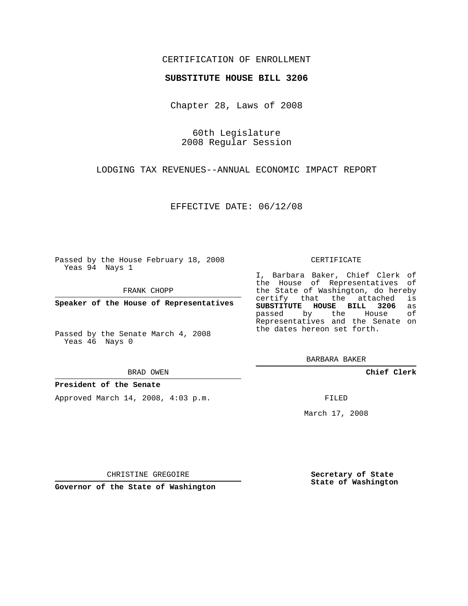# CERTIFICATION OF ENROLLMENT

## **SUBSTITUTE HOUSE BILL 3206**

Chapter 28, Laws of 2008

60th Legislature 2008 Regular Session

LODGING TAX REVENUES--ANNUAL ECONOMIC IMPACT REPORT

EFFECTIVE DATE: 06/12/08

Passed by the House February 18, 2008 Yeas 94 Nays 1

FRANK CHOPP

**Speaker of the House of Representatives**

Passed by the Senate March 4, 2008 Yeas 46 Nays 0

#### BRAD OWEN

### **President of the Senate**

Approved March 14, 2008, 4:03 p.m.

#### CERTIFICATE

I, Barbara Baker, Chief Clerk of the House of Representatives of the State of Washington, do hereby<br>certify that the attached is certify that the attached **SUBSTITUTE HOUSE BILL 3206** as passed by the House Representatives and the Senate on the dates hereon set forth.

BARBARA BAKER

**Chief Clerk**

FILED

March 17, 2008

CHRISTINE GREGOIRE

**Governor of the State of Washington**

**Secretary of State State of Washington**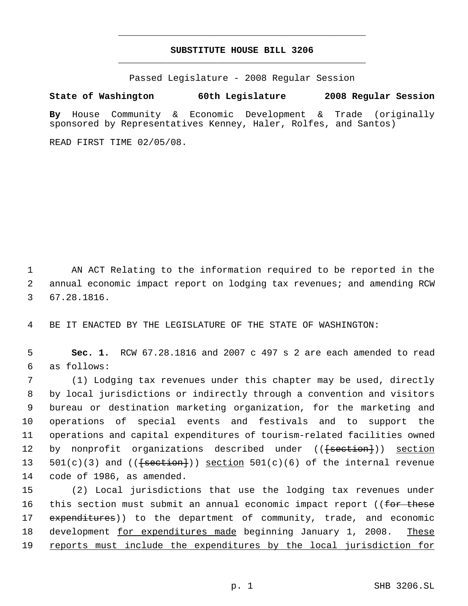# **SUBSTITUTE HOUSE BILL 3206** \_\_\_\_\_\_\_\_\_\_\_\_\_\_\_\_\_\_\_\_\_\_\_\_\_\_\_\_\_\_\_\_\_\_\_\_\_\_\_\_\_\_\_\_\_

\_\_\_\_\_\_\_\_\_\_\_\_\_\_\_\_\_\_\_\_\_\_\_\_\_\_\_\_\_\_\_\_\_\_\_\_\_\_\_\_\_\_\_\_\_

Passed Legislature - 2008 Regular Session

## **State of Washington 60th Legislature 2008 Regular Session**

**By** House Community & Economic Development & Trade (originally sponsored by Representatives Kenney, Haler, Rolfes, and Santos)

READ FIRST TIME 02/05/08.

 1 AN ACT Relating to the information required to be reported in the 2 annual economic impact report on lodging tax revenues; and amending RCW 3 67.28.1816.

4 BE IT ENACTED BY THE LEGISLATURE OF THE STATE OF WASHINGTON:

 5 **Sec. 1.** RCW 67.28.1816 and 2007 c 497 s 2 are each amended to read 6 as follows:

 (1) Lodging tax revenues under this chapter may be used, directly by local jurisdictions or indirectly through a convention and visitors bureau or destination marketing organization, for the marketing and operations of special events and festivals and to support the operations and capital expenditures of tourism-related facilities owned 12 by nonprofit organizations described under ((<del>[section]</del>)) section  $501(c)(3)$  and  $(\text{[section]})$  section  $501(c)(6)$  of the internal revenue code of 1986, as amended.

15 (2) Local jurisdictions that use the lodging tax revenues under 16 this section must submit an annual economic impact report ((for these 17 expenditures)) to the department of community, trade, and economic 18 development for expenditures made beginning January 1, 2008. These 19 reports must include the expenditures by the local jurisdiction for